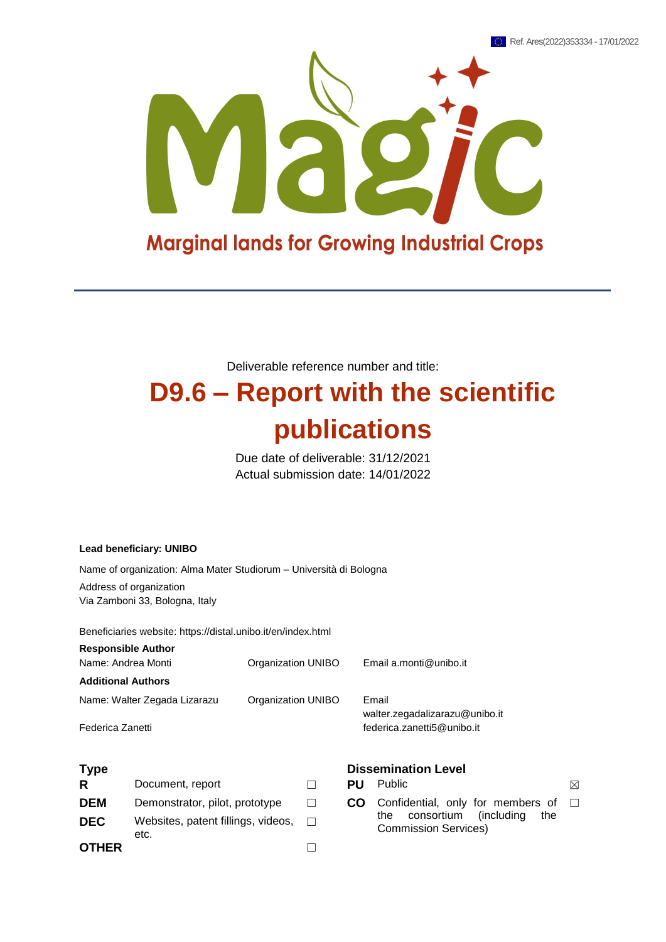

Deliverable reference number and title:

# **D9.6 – Report with the scientific publications**

Due date of deliverable: 31/12/2021 Actual submission date: 14/01/2022

#### **Lead beneficiary: UNIBO**

Name of organization: Alma Mater Studiorum – Università di Bologna

Address of organization Via Zamboni 33, Bologna, Italy

Beneficiaries website: https://distal.unibo.it/en/index.html

| <b>Responsible Author</b><br>Name: Andrea Monti | Organization UNIBO | Email a.monti@unibo.it         |
|-------------------------------------------------|--------------------|--------------------------------|
| <b>Additional Authors</b>                       |                    |                                |
| Name: Walter Zegada Lizarazu                    | Organization UNIBO | Email                          |
|                                                 |                    | walter.zegadalizarazu@unibo.it |
| Federica Zanetti                                |                    | federica.zanetti5@unibo.it     |

| R            | Document, report                           |        |
|--------------|--------------------------------------------|--------|
| <b>DEM</b>   | Demonstrator, pilot, prototype             | $\Box$ |
| <b>DEC</b>   | Websites, patent fillings, videos,<br>etc. | $\Box$ |
| <b>OTHER</b> |                                            |        |

#### **Type Dissemination Level**

**R**  $\Box$  **PU** Public  $\boxtimes$ □ **CO** Confidential, only for members of the consortium (including the Commission Services)  $\Box$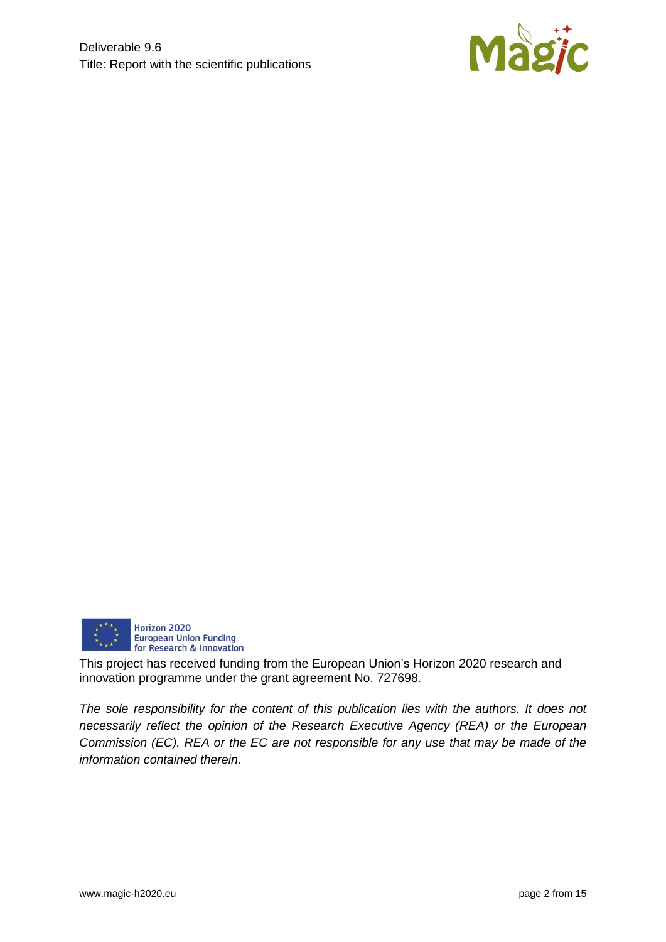



This project has received funding from the European Union's Horizon 2020 research and innovation programme under the grant agreement No. 727698.

*The sole responsibility for the content of this publication lies with the authors. It does not necessarily reflect the opinion of the Research Executive Agency (REA) or the European Commission (EC). REA or the EC are not responsible for any use that may be made of the information contained therein.*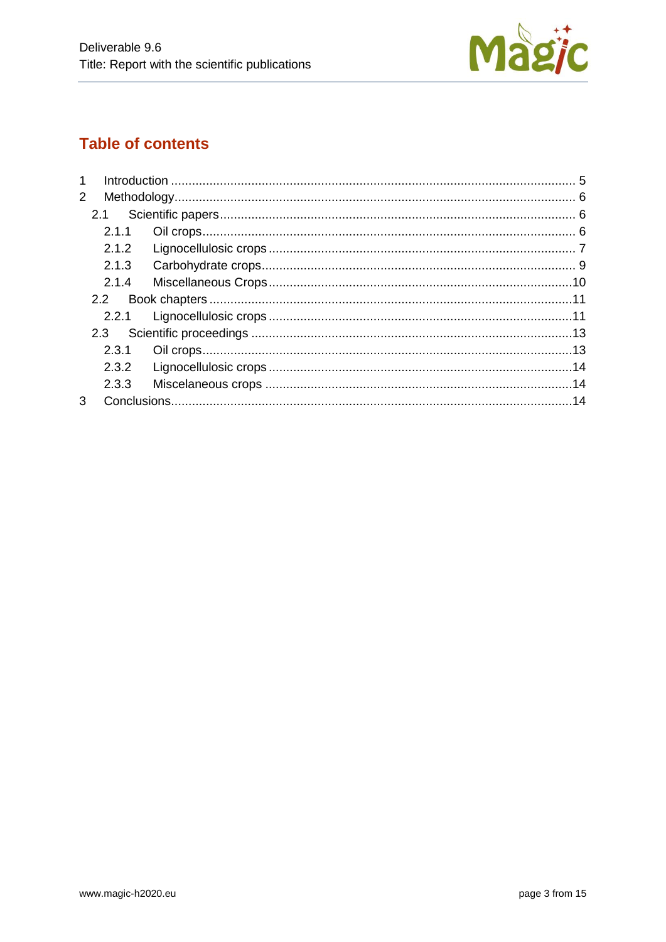

# **Table of contents**

| 1              |       |  |
|----------------|-------|--|
| $\overline{2}$ |       |  |
| 2.1            |       |  |
|                | 2.1.1 |  |
|                | 2.1.2 |  |
|                | 2.1.3 |  |
|                | 2.1.4 |  |
|                | 2.2   |  |
|                | 2.2.1 |  |
| 2.3            |       |  |
|                | 2.3.1 |  |
|                | 2.3.2 |  |
|                | 2.3.3 |  |
| 3              |       |  |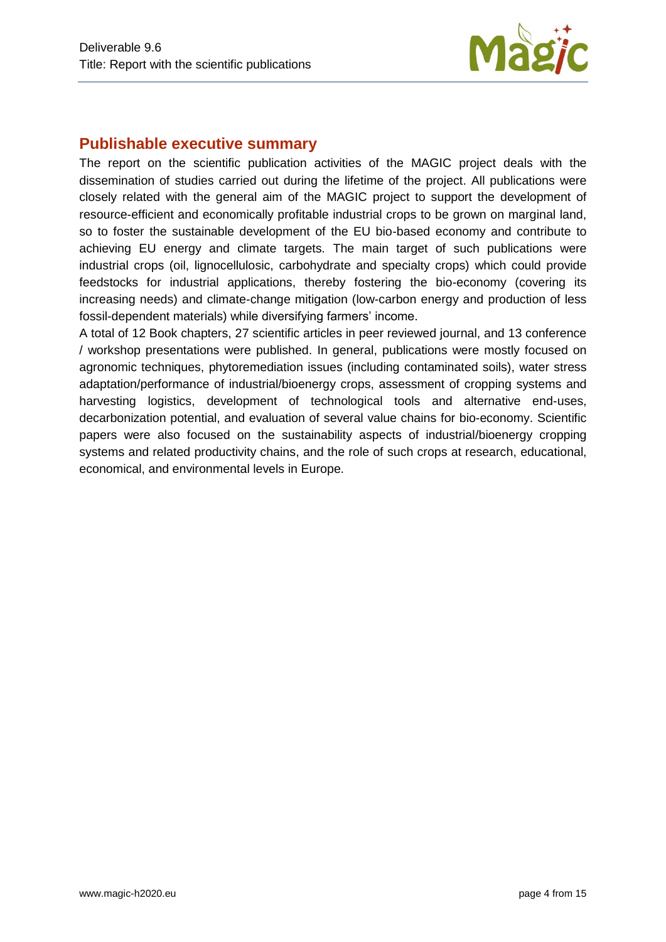

# **Publishable executive summary**

The report on the scientific publication activities of the MAGIC project deals with the dissemination of studies carried out during the lifetime of the project. All publications were closely related with the general aim of the MAGIC project to support the development of resource-efficient and economically profitable industrial crops to be grown on marginal land, so to foster the sustainable development of the EU bio-based economy and contribute to achieving EU energy and climate targets. The main target of such publications were industrial crops (oil, lignocellulosic, carbohydrate and specialty crops) which could provide feedstocks for industrial applications, thereby fostering the bio-economy (covering its increasing needs) and climate-change mitigation (low-carbon energy and production of less fossil-dependent materials) while diversifying farmers' income.

A total of 12 Book chapters, 27 scientific articles in peer reviewed journal, and 13 conference / workshop presentations were published. In general, publications were mostly focused on agronomic techniques, phytoremediation issues (including contaminated soils), water stress adaptation/performance of industrial/bioenergy crops, assessment of cropping systems and harvesting logistics, development of technological tools and alternative end-uses, decarbonization potential, and evaluation of several value chains for bio-economy. Scientific papers were also focused on the sustainability aspects of industrial/bioenergy cropping systems and related productivity chains, and the role of such crops at research, educational, economical, and environmental levels in Europe.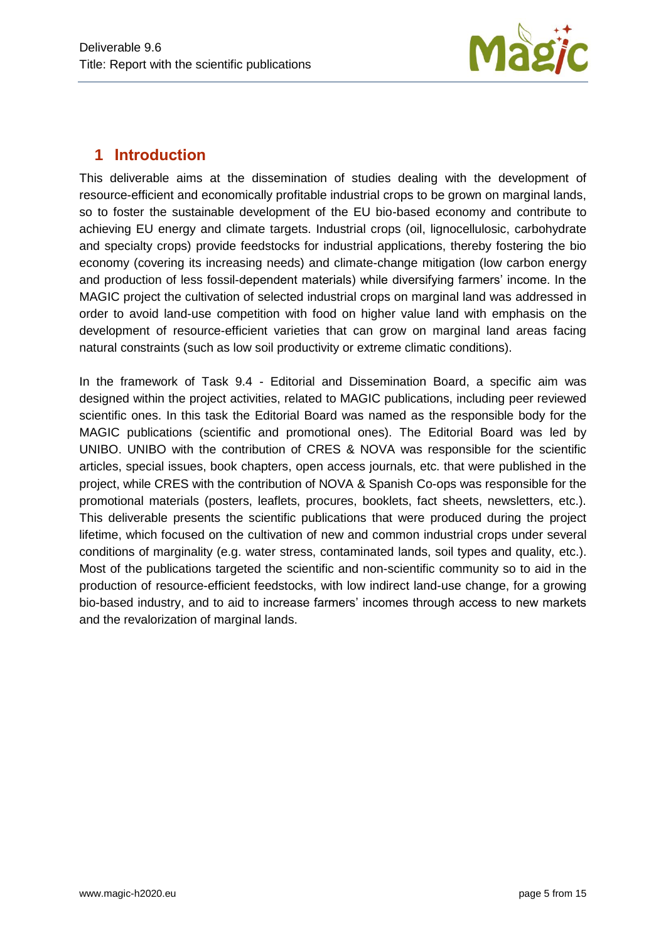

# <span id="page-4-0"></span>**1 Introduction**

This deliverable aims at the dissemination of studies dealing with the development of resource-efficient and economically profitable industrial crops to be grown on marginal lands, so to foster the sustainable development of the EU bio-based economy and contribute to achieving EU energy and climate targets. Industrial crops (oil, lignocellulosic, carbohydrate and specialty crops) provide feedstocks for industrial applications, thereby fostering the bio economy (covering its increasing needs) and climate-change mitigation (low carbon energy and production of less fossil-dependent materials) while diversifying farmers' income. In the MAGIC project the cultivation of selected industrial crops on marginal land was addressed in order to avoid land-use competition with food on higher value land with emphasis on the development of resource-efficient varieties that can grow on marginal land areas facing natural constraints (such as low soil productivity or extreme climatic conditions).

In the framework of Task 9.4 - Editorial and Dissemination Board, a specific aim was designed within the project activities, related to MAGIC publications, including peer reviewed scientific ones. In this task the Editorial Board was named as the responsible body for the MAGIC publications (scientific and promotional ones). The Editorial Board was led by UNIBO. UNIBO with the contribution of CRES & NOVA was responsible for the scientific articles, special issues, book chapters, open access journals, etc. that were published in the project, while CRES with the contribution of NOVA & Spanish Co-ops was responsible for the promotional materials (posters, leaflets, procures, booklets, fact sheets, newsletters, etc.). This deliverable presents the scientific publications that were produced during the project lifetime, which focused on the cultivation of new and common industrial crops under several conditions of marginality (e.g. water stress, contaminated lands, soil types and quality, etc.). Most of the publications targeted the scientific and non-scientific community so to aid in the production of resource-efficient feedstocks, with low indirect land-use change, for a growing bio-based industry, and to aid to increase farmers' incomes through access to new markets and the revalorization of marginal lands.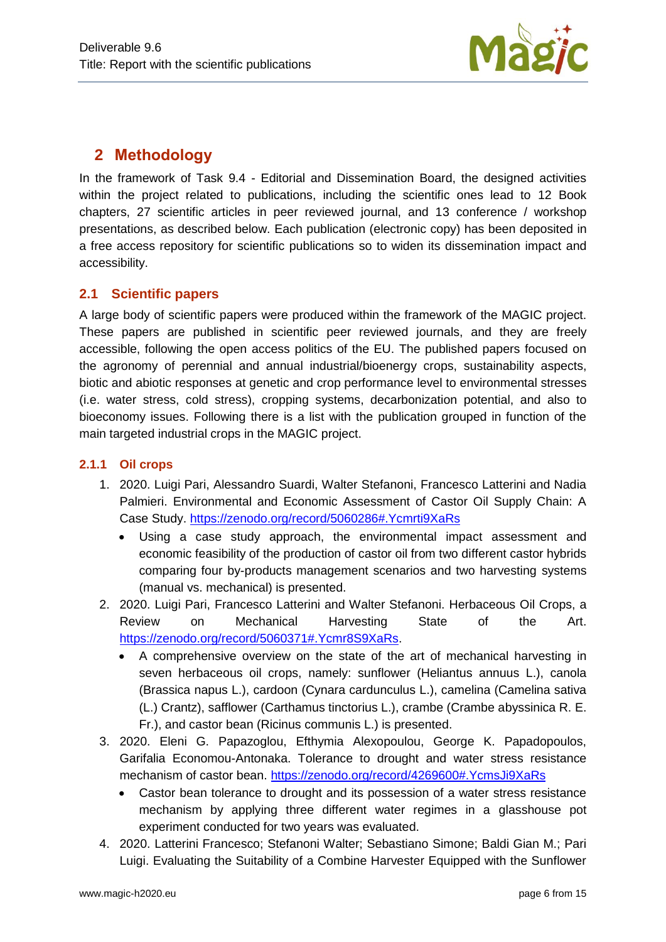

## <span id="page-5-0"></span>**2 Methodology**

In the framework of Task 9.4 - Editorial and Dissemination Board, the designed activities within the project related to publications, including the scientific ones lead to 12 Book chapters, 27 scientific articles in peer reviewed journal, and 13 conference / workshop presentations, as described below. Each publication (electronic copy) has been deposited in a free access repository for scientific publications so to widen its dissemination impact and accessibility.

#### <span id="page-5-1"></span>**2.1 Scientific papers**

A large body of scientific papers were produced within the framework of the MAGIC project. These papers are published in scientific peer reviewed journals, and they are freely accessible, following the open access politics of the EU. The published papers focused on the agronomy of perennial and annual industrial/bioenergy crops, sustainability aspects, biotic and abiotic responses at genetic and crop performance level to environmental stresses (i.e. water stress, cold stress), cropping systems, decarbonization potential, and also to bioeconomy issues. Following there is a list with the publication grouped in function of the main targeted industrial crops in the MAGIC project.

#### <span id="page-5-2"></span>**2.1.1 Oil crops**

- 1. 2020. Luigi Pari, Alessandro Suardi, Walter Stefanoni, Francesco Latterini and Nadia Palmieri. Environmental and Economic Assessment of Castor Oil Supply Chain: A Case Study.<https://zenodo.org/record/5060286#.Ycmrti9XaRs>
	- Using a case study approach, the environmental impact assessment and economic feasibility of the production of castor oil from two different castor hybrids comparing four by-products management scenarios and two harvesting systems (manual vs. mechanical) is presented.
- 2. 2020. Luigi Pari, Francesco Latterini and Walter Stefanoni. Herbaceous Oil Crops, a Review on Mechanical Harvesting State of the Art. [https://zenodo.org/record/5060371#.Ycmr8S9XaRs.](https://zenodo.org/record/5060371#.Ycmr8S9XaRs)
	- A comprehensive overview on the state of the art of mechanical harvesting in seven herbaceous oil crops, namely: sunflower (Heliantus annuus L.), canola (Brassica napus L.), cardoon (Cynara cardunculus L.), camelina (Camelina sativa (L.) Crantz), safflower (Carthamus tinctorius L.), crambe (Crambe abyssinica R. E. Fr.), and castor bean (Ricinus communis L.) is presented.
- 3. 2020. Eleni G. Papazoglou, Efthymia Alexopoulou, George K. Papadopoulos, Garifalia Economou-Antonaka. Tolerance to drought and water stress resistance mechanism of castor bean.<https://zenodo.org/record/4269600#.YcmsJi9XaRs>
	- Castor bean tolerance to drought and its possession of a water stress resistance mechanism by applying three different water regimes in a glasshouse pot experiment conducted for two years was evaluated.
- 4. 2020. Latterini Francesco; Stefanoni Walter; Sebastiano Simone; Baldi Gian M.; Pari Luigi. Evaluating the Suitability of a Combine Harvester Equipped with the Sunflower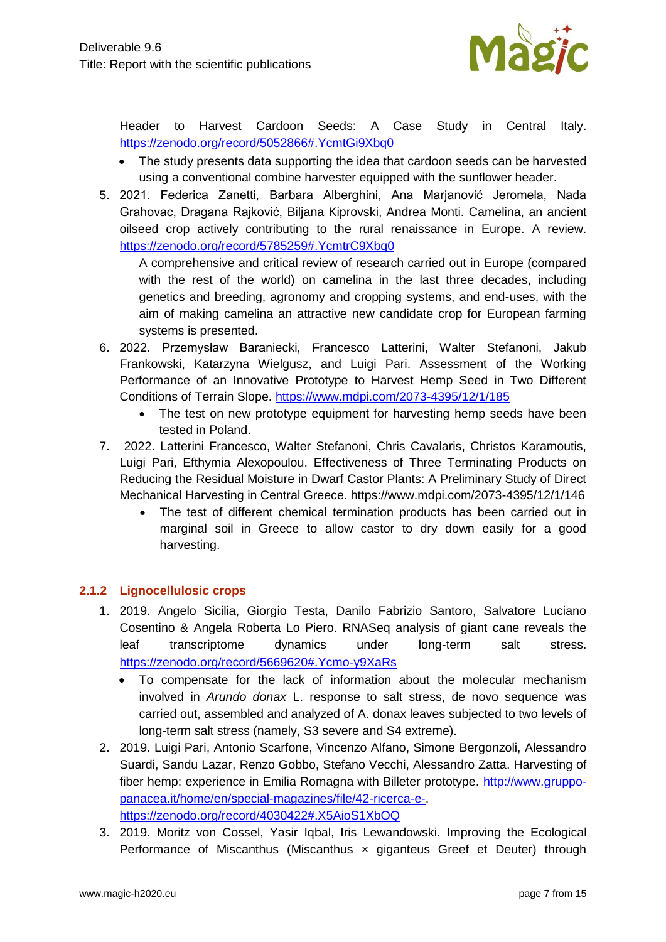

Header to Harvest Cardoon Seeds: A Case Study in Central Italy. <https://zenodo.org/record/5052866#.YcmtGi9Xbq0>

- The study presents data supporting the idea that cardoon seeds can be harvested using a conventional combine harvester equipped with the sunflower header.
- 5. 2021. Federica Zanetti, Barbara Alberghini, Ana Marjanović Jeromela, Nada Grahovac, Dragana Rajković, Biljana Kiprovski, Andrea Monti. Camelina, an ancient oilseed crop actively contributing to the rural renaissance in Europe. A review. <https://zenodo.org/record/5785259#.YcmtrC9Xbq0>

A comprehensive and critical review of research carried out in Europe (compared with the rest of the world) on camelina in the last three decades, including genetics and breeding, agronomy and cropping systems, and end-uses, with the aim of making camelina an attractive new candidate crop for European farming systems is presented.

- 6. 2022. Przemysław Baraniecki, Francesco Latterini, Walter Stefanoni, Jakub Frankowski, Katarzyna Wielgusz, and Luigi Pari. Assessment of the Working Performance of an Innovative Prototype to Harvest Hemp Seed in Two Different Conditions of Terrain Slope.<https://www.mdpi.com/2073-4395/12/1/185>
	- The test on new prototype equipment for harvesting hemp seeds have been tested in Poland.
- 7. 2022. Latterini Francesco, Walter Stefanoni, Chris Cavalaris, Christos Karamoutis, Luigi Pari, Efthymia Alexopoulou. Effectiveness of Three Terminating Products on Reducing the Residual Moisture in Dwarf Castor Plants: A Preliminary Study of Direct Mechanical Harvesting in Central Greece. https://www.mdpi.com/2073-4395/12/1/146
	- The test of different chemical termination products has been carried out in marginal soil in Greece to allow castor to dry down easily for a good harvesting.

#### <span id="page-6-0"></span>**2.1.2 Lignocellulosic crops**

- 1. 2019. Angelo Sicilia, Giorgio Testa, Danilo Fabrizio Santoro, Salvatore Luciano Cosentino & Angela Roberta Lo Piero. RNASeq analysis of giant cane reveals the leaf transcriptome dynamics under long-term salt stress. <https://zenodo.org/record/5669620#.Ycmo-y9XaRs>
	- To compensate for the lack of information about the molecular mechanism involved in *Arundo donax* L. response to salt stress, de novo sequence was carried out, assembled and analyzed of A. donax leaves subjected to two levels of long-term salt stress (namely, S3 severe and S4 extreme).
- 2. 2019. Luigi Pari, Antonio Scarfone, Vincenzo Alfano, Simone Bergonzoli, Alessandro Suardi, Sandu Lazar, Renzo Gobbo, Stefano Vecchi, Alessandro Zatta. Harvesting of fiber hemp: experience in Emilia Romagna with Billeter prototype. [http://www.gruppo](http://www.gruppo-panacea.it/home/en/special-magazines/file/42-ricerca-e-)[panacea.it/home/en/special-magazines/file/42-ricerca-e-.](http://www.gruppo-panacea.it/home/en/special-magazines/file/42-ricerca-e-) <https://zenodo.org/record/4030422#.X5AioS1XbOQ>
- 3. 2019. Moritz von Cossel, Yasir Iqbal, Iris Lewandowski. Improving the Ecological Performance of Miscanthus (Miscanthus x giganteus Greef et Deuter) through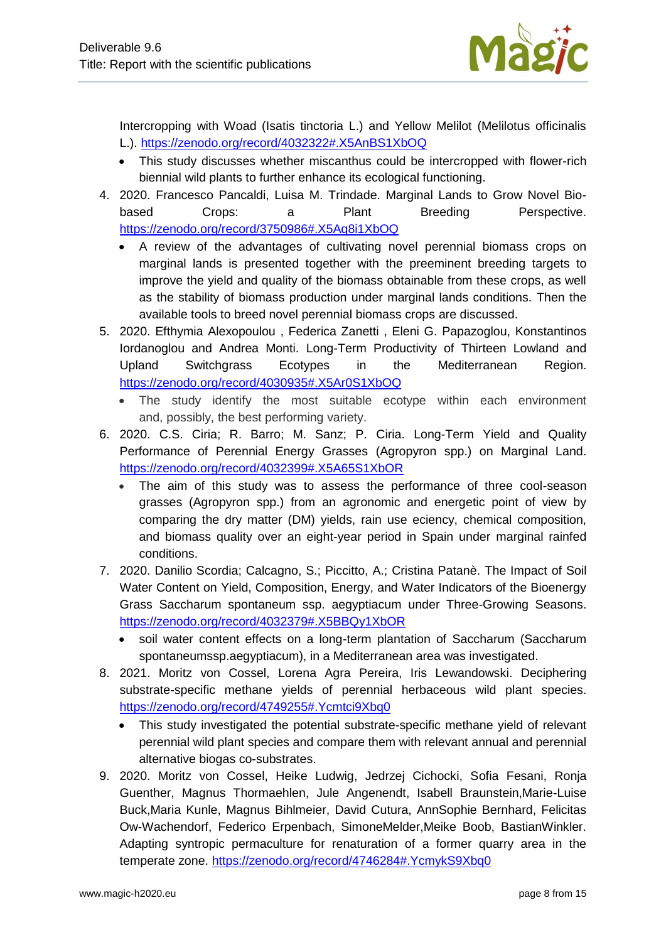

Intercropping with Woad (Isatis tinctoria L.) and Yellow Melilot (Melilotus officinalis L.).<https://zenodo.org/record/4032322#.X5AnBS1XbOQ>

- This study discusses whether miscanthus could be intercropped with flower-rich biennial wild plants to further enhance its ecological functioning.
- 4. 2020. Francesco Pancaldi, Luisa M. Trindade. Marginal Lands to Grow Novel Biobased Crops: a Plant Breeding Perspective. <https://zenodo.org/record/3750986#.X5Aq8i1XbOQ>
	- A review of the advantages of cultivating novel perennial biomass crops on marginal lands is presented together with the preeminent breeding targets to improve the yield and quality of the biomass obtainable from these crops, as well as the stability of biomass production under marginal lands conditions. Then the available tools to breed novel perennial biomass crops are discussed.
- 5. 2020. Efthymia Alexopoulou , Federica Zanetti , Eleni G. Papazoglou, Konstantinos Iordanoglou and Andrea Monti. Long-Term Productivity of Thirteen Lowland and Upland Switchgrass Ecotypes in the Mediterranean Region. <https://zenodo.org/record/4030935#.X5Ar0S1XbOQ>
	- The study identify the most suitable ecotype within each environment and, possibly, the best performing variety.
- 6. 2020. C.S. Ciria; R. Barro; M. Sanz; P. Ciria. Long-Term Yield and Quality Performance of Perennial Energy Grasses (Agropyron spp.) on Marginal Land. <https://zenodo.org/record/4032399#.X5A65S1XbOR>
	- The aim of this study was to assess the performance of three cool-season grasses (Agropyron spp.) from an agronomic and energetic point of view by comparing the dry matter (DM) yields, rain use eciency, chemical composition, and biomass quality over an eight-year period in Spain under marginal rainfed conditions.
- 7. 2020. Danilio Scordia; Calcagno, S.; Piccitto, A.; Cristina Patanè. The Impact of Soil Water Content on Yield, Composition, Energy, and Water Indicators of the Bioenergy Grass Saccharum spontaneum ssp. aegyptiacum under Three-Growing Seasons. <https://zenodo.org/record/4032379#.X5BBQy1XbOR>
	- soil water content effects on a long-term plantation of Saccharum (Saccharum spontaneumssp.aegyptiacum), in a Mediterranean area was investigated.
- 8. 2021. Moritz von Cossel, Lorena Agra Pereira, Iris Lewandowski. Deciphering substrate-specific methane yields of perennial herbaceous wild plant species. <https://zenodo.org/record/4749255#.Ycmtci9Xbq0>
	- This study investigated the potential substrate-specific methane yield of relevant perennial wild plant species and compare them with relevant annual and perennial alternative biogas co-substrates.
- 9. 2020. Moritz von Cossel, Heike Ludwig, Jedrzej Cichocki, Sofia Fesani, Ronja Guenther, Magnus Thormaehlen, Jule Angenendt, Isabell Braunstein,Marie-Luise Buck,Maria Kunle, Magnus Bihlmeier, David Cutura, AnnSophie Bernhard, Felicitas Ow-Wachendorf, Federico Erpenbach, SimoneMelder,Meike Boob, BastianWinkler. Adapting syntropic permaculture for renaturation of a former quarry area in the temperate zone.<https://zenodo.org/record/4746284#.YcmykS9Xbq0>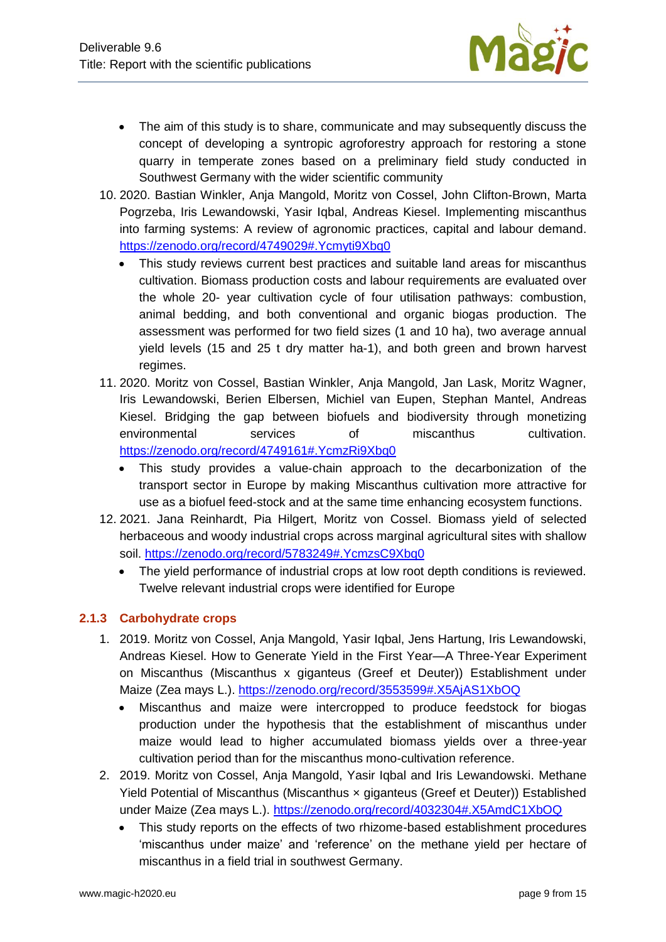

- The aim of this study is to share, communicate and may subsequently discuss the concept of developing a syntropic agroforestry approach for restoring a stone quarry in temperate zones based on a preliminary field study conducted in Southwest Germany with the wider scientific community
- 10. 2020. Bastian Winkler, Anja Mangold, Moritz von Cossel, John Clifton-Brown, Marta Pogrzeba, Iris Lewandowski, Yasir Iqbal, Andreas Kiesel. Implementing miscanthus into farming systems: A review of agronomic practices, capital and labour demand. <https://zenodo.org/record/4749029#.Ycmyti9Xbq0>
	- This study reviews current best practices and suitable land areas for miscanthus cultivation. Biomass production costs and labour requirements are evaluated over the whole 20- year cultivation cycle of four utilisation pathways: combustion, animal bedding, and both conventional and organic biogas production. The assessment was performed for two field sizes (1 and 10 ha), two average annual yield levels (15 and 25 t dry matter ha-1), and both green and brown harvest regimes.
- 11. 2020. Moritz von Cossel, Bastian Winkler, Anja Mangold, Jan Lask, Moritz Wagner, Iris Lewandowski, Berien Elbersen, Michiel van Eupen, Stephan Mantel, Andreas Kiesel. Bridging the gap between biofuels and biodiversity through monetizing environmental services of miscanthus cultivation. <https://zenodo.org/record/4749161#.YcmzRi9Xbq0>
	- This study provides a value‐chain approach to the decarbonization of the transport sector in Europe by making Miscanthus cultivation more attractive for use as a biofuel feed-stock and at the same time enhancing ecosystem functions.
- 12. 2021. Jana Reinhardt, Pia Hilgert, Moritz von Cossel. Biomass yield of selected herbaceous and woody industrial crops across marginal agricultural sites with shallow soil.<https://zenodo.org/record/5783249#.YcmzsC9Xbq0>
	- The yield performance of industrial crops at low root depth conditions is reviewed. Twelve relevant industrial crops were identified for Europe

#### <span id="page-8-0"></span>**2.1.3 Carbohydrate crops**

- 1. 2019. Moritz von Cossel, Anja Mangold, Yasir Iqbal, Jens Hartung, Iris Lewandowski, Andreas Kiesel. How to Generate Yield in the First Year—A Three-Year Experiment on Miscanthus (Miscanthus x giganteus (Greef et Deuter)) Establishment under Maize (Zea mays L.).<https://zenodo.org/record/3553599#.X5AjAS1XbOQ>
	- Miscanthus and maize were intercropped to produce feedstock for biogas production under the hypothesis that the establishment of miscanthus under maize would lead to higher accumulated biomass yields over a three-year cultivation period than for the miscanthus mono-cultivation reference.
- 2. 2019. Moritz von Cossel, Anja Mangold, Yasir Iqbal and Iris Lewandowski. Methane Yield Potential of Miscanthus (Miscanthus × giganteus (Greef et Deuter)) Established under Maize (Zea mays L.).<https://zenodo.org/record/4032304#.X5AmdC1XbOQ>
	- This study reports on the effects of two rhizome-based establishment procedures 'miscanthus under maize' and 'reference' on the methane yield per hectare of miscanthus in a field trial in southwest Germany.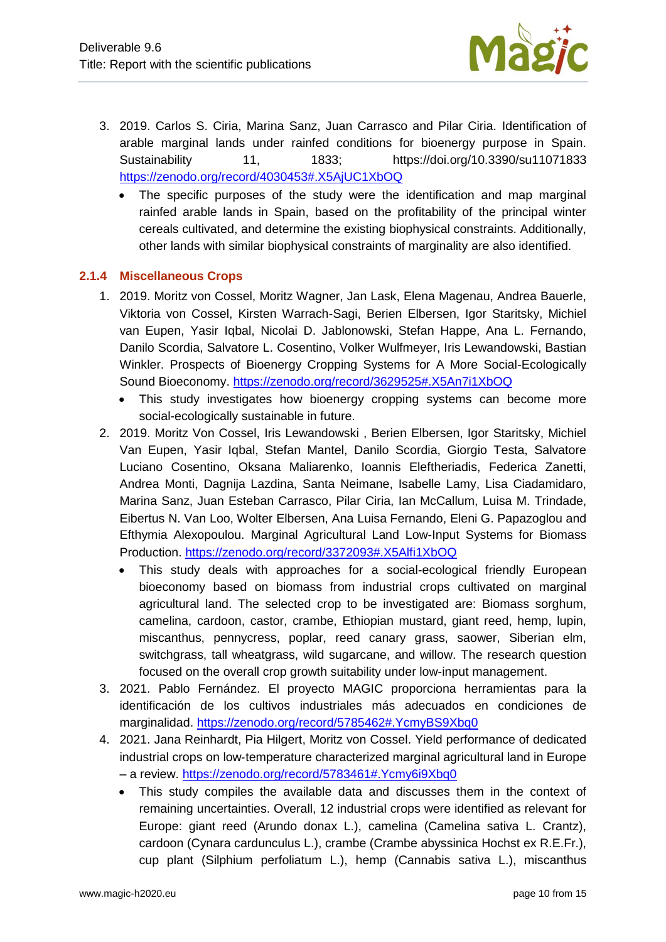

- 3. 2019. Carlos S. Ciria, Marina Sanz, Juan Carrasco and Pilar Ciria. Identification of arable marginal lands under rainfed conditions for bioenergy purpose in Spain. Sustainability 11, 1833; https://doi.org/10.3390/su11071833 <https://zenodo.org/record/4030453#.X5AjUC1XbOQ>
	- The specific purposes of the study were the identification and map marginal rainfed arable lands in Spain, based on the profitability of the principal winter cereals cultivated, and determine the existing biophysical constraints. Additionally, other lands with similar biophysical constraints of marginality are also identified.

#### <span id="page-9-0"></span>**2.1.4 Miscellaneous Crops**

- 1. 2019. Moritz von Cossel, Moritz Wagner, Jan Lask, Elena Magenau, Andrea Bauerle, Viktoria von Cossel, Kirsten Warrach-Sagi, Berien Elbersen, Igor Staritsky, Michiel van Eupen, Yasir Iqbal, Nicolai D. Jablonowski, Stefan Happe, Ana L. Fernando, Danilo Scordia, Salvatore L. Cosentino, Volker Wulfmeyer, Iris Lewandowski, Bastian Winkler. Prospects of Bioenergy Cropping Systems for A More Social-Ecologically Sound Bioeconomy.<https://zenodo.org/record/3629525#.X5An7i1XbOQ>
	- This study investigates how bioenergy cropping systems can become more social-ecologically sustainable in future.
- 2. 2019. Moritz Von Cossel, Iris Lewandowski , Berien Elbersen, Igor Staritsky, Michiel Van Eupen, Yasir Iqbal, Stefan Mantel, Danilo Scordia, Giorgio Testa, Salvatore Luciano Cosentino, Oksana Maliarenko, Ioannis Eleftheriadis, Federica Zanetti, Andrea Monti, Dagnija Lazdina, Santa Neimane, Isabelle Lamy, Lisa Ciadamidaro, Marina Sanz, Juan Esteban Carrasco, Pilar Ciria, Ian McCallum, Luisa M. Trindade, Eibertus N. Van Loo, Wolter Elbersen, Ana Luisa Fernando, Eleni G. Papazoglou and Efthymia Alexopoulou. Marginal Agricultural Land Low-Input Systems for Biomass Production.<https://zenodo.org/record/3372093#.X5Alfi1XbOQ>
	- This study deals with approaches for a social-ecological friendly European bioeconomy based on biomass from industrial crops cultivated on marginal agricultural land. The selected crop to be investigated are: Biomass sorghum, camelina, cardoon, castor, crambe, Ethiopian mustard, giant reed, hemp, lupin, miscanthus, pennycress, poplar, reed canary grass, saower, Siberian elm, switchgrass, tall wheatgrass, wild sugarcane, and willow. The research question focused on the overall crop growth suitability under low-input management.
- 3. 2021. Pablo Fernández. El proyecto MAGIC proporciona herramientas para la identificación de los cultivos industriales más adecuados en condiciones de marginalidad.<https://zenodo.org/record/5785462#.YcmyBS9Xbq0>
- 4. 2021. Jana Reinhardt, Pia Hilgert, Moritz von Cossel. Yield performance of dedicated industrial crops on low‐temperature characterized marginal agricultural land in Europe – a review.<https://zenodo.org/record/5783461#.Ycmy6i9Xbq0>
	- This study compiles the available data and discusses them in the context of remaining uncertainties. Overall, 12 industrial crops were identified as relevant for Europe: giant reed (Arundo donax L.), camelina (Camelina sativa L. Crantz), cardoon (Cynara cardunculus L.), crambe (Crambe abyssinica Hochst ex R.E.Fr.), cup plant (Silphium perfoliatum L.), hemp (Cannabis sativa L.), miscanthus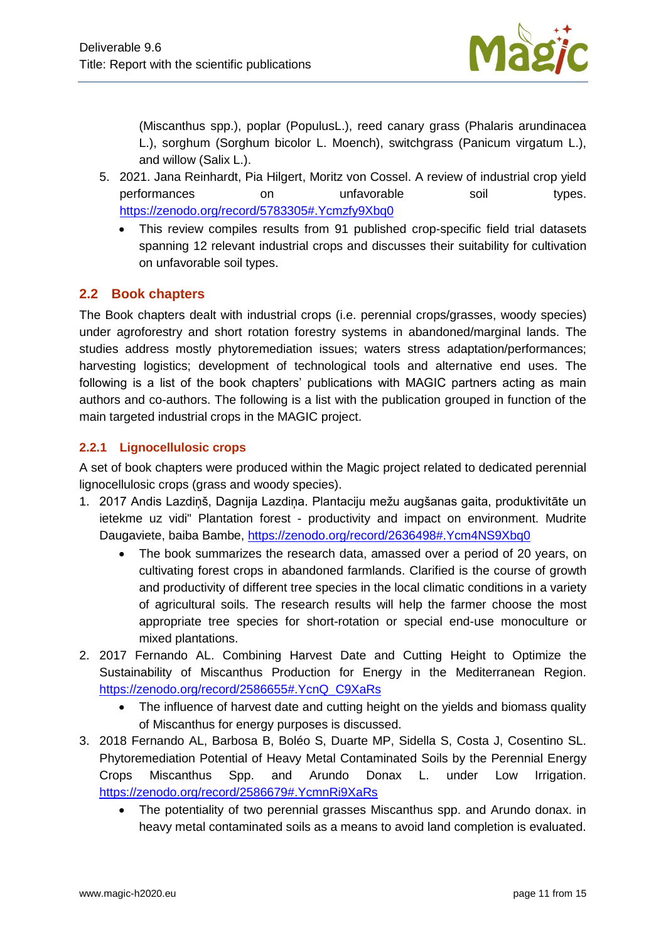

(Miscanthus spp.), poplar (PopulusL.), reed canary grass (Phalaris arundinacea L.), sorghum (Sorghum bicolor L. Moench), switchgrass (Panicum virgatum L.), and willow (Salix L.).

- 5. 2021. Jana Reinhardt, Pia Hilgert, Moritz von Cossel. A review of industrial crop yield performances on unfavorable soil types. <https://zenodo.org/record/5783305#.Ycmzfy9Xbq0>
	- This review compiles results from 91 published crop-specific field trial datasets spanning 12 relevant industrial crops and discusses their suitability for cultivation on unfavorable soil types.

### <span id="page-10-0"></span>**2.2 Book chapters**

The Book chapters dealt with industrial crops (i.e. perennial crops/grasses, woody species) under agroforestry and short rotation forestry systems in abandoned/marginal lands. The studies address mostly phytoremediation issues; waters stress adaptation/performances; harvesting logistics; development of technological tools and alternative end uses. The following is a list of the book chapters' publications with MAGIC partners acting as main authors and co-authors. The following is a list with the publication grouped in function of the main targeted industrial crops in the MAGIC project.

#### <span id="page-10-1"></span>**2.2.1 Lignocellulosic crops**

A set of book chapters were produced within the Magic project related to dedicated perennial lignocellulosic crops (grass and woody species).

- 1. 2017 Andis Lazdiņš, Dagnija Lazdiņa. Plantaciju mežu augšanas gaita, produktivitāte un ietekme uz vidi" Plantation forest - productivity and impact on environment. Mudrite Daugaviete, baiba Bambe,<https://zenodo.org/record/2636498#.Ycm4NS9Xbq0>
	- The book summarizes the research data, amassed over a period of 20 years, on cultivating forest crops in abandoned farmlands. Clarified is the course of growth and productivity of different tree species in the local climatic conditions in a variety of agricultural soils. The research results will help the farmer choose the most appropriate tree species for short-rotation or special end-use monoculture or mixed plantations.
- 2. 2017 Fernando AL. Combining Harvest Date and Cutting Height to Optimize the Sustainability of Miscanthus Production for Energy in the Mediterranean Region. [https://zenodo.org/record/2586655#.YcnQ\\_C9XaRs](https://zenodo.org/record/2586655#.YcnQ_C9XaRs)
	- The influence of harvest date and cutting height on the yields and biomass quality of Miscanthus for energy purposes is discussed.
- 3. 2018 Fernando AL, Barbosa B, Boléo S, Duarte MP, Sidella S, Costa J, Cosentino SL. Phytoremediation Potential of Heavy Metal Contaminated Soils by the Perennial Energy Crops Miscanthus Spp. and Arundo Donax L. under Low Irrigation. <https://zenodo.org/record/2586679#.YcmnRi9XaRs>
	- The potentiality of two perennial grasses Miscanthus spp. and Arundo donax. in heavy metal contaminated soils as a means to avoid land completion is evaluated.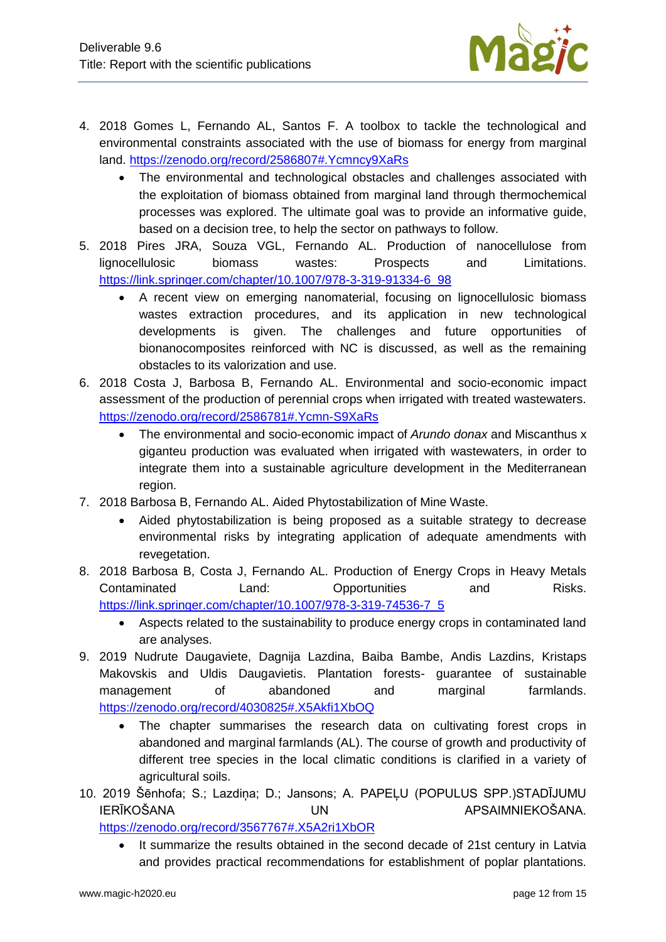

- 4. 2018 Gomes L, Fernando AL, Santos F. A toolbox to tackle the technological and environmental constraints associated with the use of biomass for energy from marginal land.<https://zenodo.org/record/2586807#.Ycmncy9XaRs>
	- The environmental and technological obstacles and challenges associated with the exploitation of biomass obtained from marginal land through thermochemical processes was explored. The ultimate goal was to provide an informative guide, based on a decision tree, to help the sector on pathways to follow.
- 5. 2018 Pires JRA, Souza VGL, Fernando AL. Production of nanocellulose from lignocellulosic biomass wastes: Prospects and Limitations. [https://link.springer.com/chapter/10.1007/978-3-319-91334-6\\_98](https://link.springer.com/chapter/10.1007/978-3-319-91334-6_98)
	- A recent view on emerging nanomaterial, focusing on lignocellulosic biomass wastes extraction procedures, and its application in new technological developments is given. The challenges and future opportunities of bionanocomposites reinforced with NC is discussed, as well as the remaining obstacles to its valorization and use.
- 6. 2018 Costa J, Barbosa B, Fernando AL. Environmental and socio-economic impact assessment of the production of perennial crops when irrigated with treated wastewaters. <https://zenodo.org/record/2586781#.Ycmn-S9XaRs>
	- The environmental and socio-economic impact of *Arundo donax* and Miscanthus x giganteu production was evaluated when irrigated with wastewaters, in order to integrate them into a sustainable agriculture development in the Mediterranean region.
- 7. 2018 Barbosa B, Fernando AL. Aided Phytostabilization of Mine Waste.
	- Aided phytostabilization is being proposed as a suitable strategy to decrease environmental risks by integrating application of adequate amendments with revegetation.
- 8. 2018 Barbosa B, Costa J, Fernando AL. Production of Energy Crops in Heavy Metals Contaminated Land: Opportunities and Risks. [https://link.springer.com/chapter/10.1007/978-3-319-74536-7\\_5](https://link.springer.com/chapter/10.1007/978-3-319-74536-7_5)
	- Aspects related to the sustainability to produce energy crops in contaminated land are analyses.
- 9. 2019 Nudrute Daugaviete, Dagnija Lazdina, Baiba Bambe, Andis Lazdins, Kristaps Makovskis and Uldis Daugavietis. Plantation forests- guarantee of sustainable management of abandoned and marginal farmlands. <https://zenodo.org/record/4030825#.X5Akfi1XbOQ>
	- The chapter summarises the research data on cultivating forest crops in abandoned and marginal farmlands (AL). The course of growth and productivity of different tree species in the local climatic conditions is clarified in a variety of agricultural soils.
- 10. 2019 Šēnhofa; S.; Lazdina; D.; Jansons; A. PAPELU (POPULUS SPP.)STADĪJUMU IERĪKOŠANA UN UN APSAIMNIEKOŠANA.

<https://zenodo.org/record/3567767#.X5A2ri1XbOR>

 It summarize the results obtained in the second decade of 21st century in Latvia and provides practical recommendations for establishment of poplar plantations.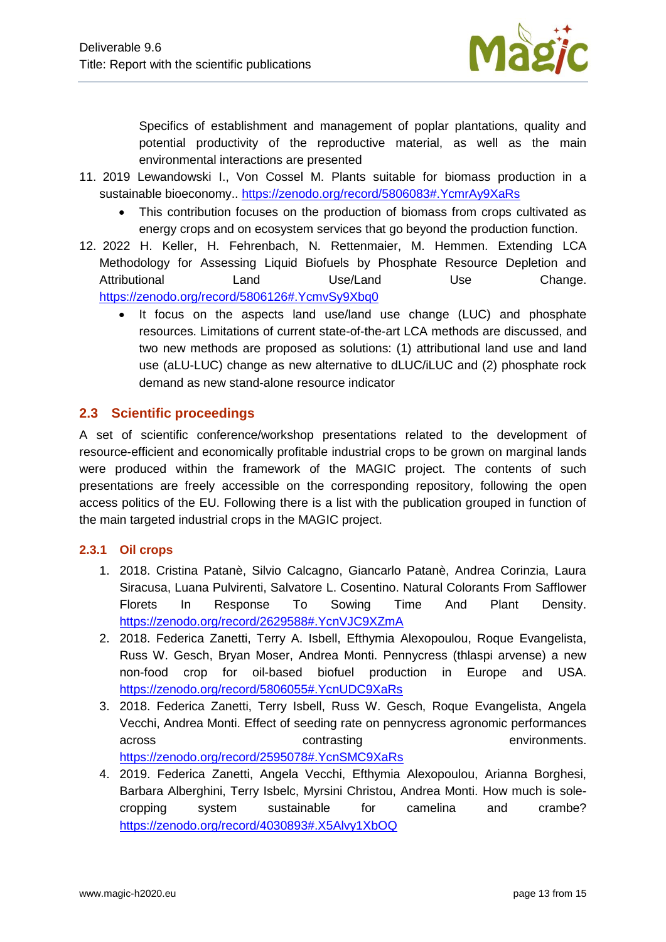

Specifics of establishment and management of poplar plantations, quality and potential productivity of the reproductive material, as well as the main environmental interactions are presented

- 11. 2019 Lewandowski I., Von Cossel M. Plants suitable for biomass production in a sustainable bioeconomy..<https://zenodo.org/record/5806083#.YcmrAy9XaRs>
	- This contribution focuses on the production of biomass from crops cultivated as energy crops and on ecosystem services that go beyond the production function.
- 12. 2022 H. Keller, H. Fehrenbach, N. Rettenmaier, M. Hemmen. Extending LCA Methodology for Assessing Liquid Biofuels by Phosphate Resource Depletion and Attributional Land Use/Land Use Change. <https://zenodo.org/record/5806126#.YcmvSy9Xbq0>
	- It focus on the aspects land use/land use change (LUC) and phosphate resources. Limitations of current state-of-the-art LCA methods are discussed, and two new methods are proposed as solutions: (1) attributional land use and land use (aLU-LUC) change as new alternative to dLUC/iLUC and (2) phosphate rock demand as new stand-alone resource indicator

#### <span id="page-12-0"></span>**2.3 Scientific proceedings**

A set of scientific conference/workshop presentations related to the development of resource-efficient and economically profitable industrial crops to be grown on marginal lands were produced within the framework of the MAGIC project. The contents of such presentations are freely accessible on the corresponding repository, following the open access politics of the EU. Following there is a list with the publication grouped in function of the main targeted industrial crops in the MAGIC project.

#### <span id="page-12-1"></span>**2.3.1 Oil crops**

- 1. 2018. Cristina Patanè, Silvio Calcagno, Giancarlo Patanè, Andrea Corinzia, Laura Siracusa, Luana Pulvirenti, Salvatore L. Cosentino. Natural Colorants From Safflower Florets In Response To Sowing Time And Plant Density. <https://zenodo.org/record/2629588#.YcnVJC9XZmA>
- 2. 2018. Federica Zanetti, Terry A. Isbell, Efthymia Alexopoulou, Roque Evangelista, Russ W. Gesch, Bryan Moser, Andrea Monti. Pennycress (thlaspi arvense) a new non-food crop for oil-based biofuel production in Europe and USA. <https://zenodo.org/record/5806055#.YcnUDC9XaRs>
- 3. 2018. Federica Zanetti, Terry Isbell, Russ W. Gesch, Roque Evangelista, Angela Vecchi, Andrea Monti. Effect of seeding rate on pennycress agronomic performances across contrasting environments. <https://zenodo.org/record/2595078#.YcnSMC9XaRs>
- 4. 2019. Federica Zanetti, Angela Vecchi, Efthymia Alexopoulou, Arianna Borghesi, Barbara Alberghini, Terry Isbelc, Myrsini Christou, Andrea Monti. How much is solecropping system sustainable for camelina and crambe? <https://zenodo.org/record/4030893#.X5Alvy1XbOQ>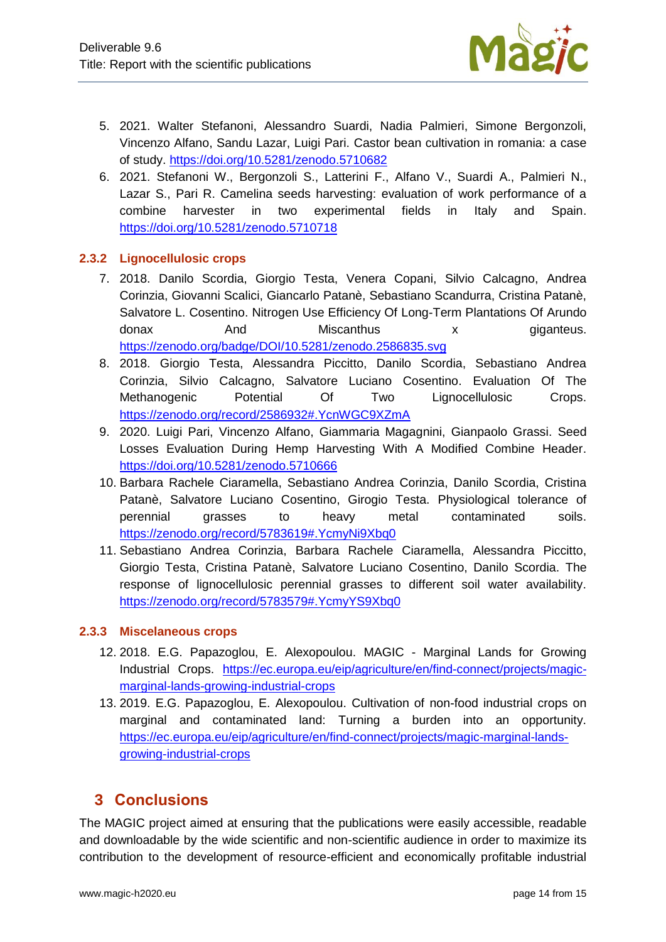

- 5. 2021. Walter Stefanoni, Alessandro Suardi, Nadia Palmieri, Simone Bergonzoli, Vincenzo Alfano, Sandu Lazar, Luigi Pari. Castor bean cultivation in romania: a case of study.<https://doi.org/10.5281/zenodo.5710682>
- 6. 2021. Stefanoni W., Bergonzoli S., Latterini F., Alfano V., Suardi A., Palmieri N., Lazar S., Pari R. Camelina seeds harvesting: evaluation of work performance of a combine harvester in two experimental fields in Italy and Spain. <https://doi.org/10.5281/zenodo.5710718>

#### <span id="page-13-0"></span>**2.3.2 Lignocellulosic crops**

- 7. 2018. Danilo Scordia, Giorgio Testa, Venera Copani, Silvio Calcagno, Andrea Corinzia, Giovanni Scalici, Giancarlo Patanè, Sebastiano Scandurra, Cristina Patanè, Salvatore L. Cosentino. Nitrogen Use Efficiency Of Long-Term Plantations Of Arundo donax And Miscanthus x giganteus. <https://zenodo.org/badge/DOI/10.5281/zenodo.2586835.svg>
- 8. 2018. Giorgio Testa, Alessandra Piccitto, Danilo Scordia, Sebastiano Andrea Corinzia, Silvio Calcagno, Salvatore Luciano Cosentino. Evaluation Of The Methanogenic Potential Of Two Lignocellulosic Crops. <https://zenodo.org/record/2586932#.YcnWGC9XZmA>
- 9. 2020. Luigi Pari, Vincenzo Alfano, Giammaria Magagnini, Gianpaolo Grassi. Seed Losses Evaluation During Hemp Harvesting With A Modified Combine Header. <https://doi.org/10.5281/zenodo.5710666>
- 10. Barbara Rachele Ciaramella, Sebastiano Andrea Corinzia, Danilo Scordia, Cristina Patanè, Salvatore Luciano Cosentino, Girogio Testa. Physiological tolerance of perennial grasses to heavy metal contaminated soils. <https://zenodo.org/record/5783619#.YcmyNi9Xbq0>
- 11. Sebastiano Andrea Corinzia, Barbara Rachele Ciaramella, Alessandra Piccitto, Giorgio Testa, Cristina Patanè, Salvatore Luciano Cosentino, Danilo Scordia. The response of lignocellulosic perennial grasses to different soil water availability. <https://zenodo.org/record/5783579#.YcmyYS9Xbq0>

#### <span id="page-13-1"></span>**2.3.3 Miscelaneous crops**

- 12. 2018. E.G. Papazoglou, E. Alexopoulou. MAGIC Marginal Lands for Growing Industrial Crops. [https://ec.europa.eu/eip/agriculture/en/find-connect/projects/magic](https://ec.europa.eu/eip/agriculture/en/find-connect/projects/magic-marginal-lands-growing-industrial-crops)[marginal-lands-growing-industrial-crops](https://ec.europa.eu/eip/agriculture/en/find-connect/projects/magic-marginal-lands-growing-industrial-crops)
- 13. 2019. E.G. Papazoglou, E. Alexopoulou. Cultivation of non-food industrial crops on marginal and contaminated land: Turning a burden into an opportunity. [https://ec.europa.eu/eip/agriculture/en/find-connect/projects/magic-marginal-lands](https://ec.europa.eu/eip/agriculture/en/find-connect/projects/magic-marginal-lands-growing-industrial-crops)[growing-industrial-crops](https://ec.europa.eu/eip/agriculture/en/find-connect/projects/magic-marginal-lands-growing-industrial-crops)

# <span id="page-13-2"></span>**3 Conclusions**

The MAGIC project aimed at ensuring that the publications were easily accessible, readable and downloadable by the wide scientific and non-scientific audience in order to maximize its contribution to the development of resource-efficient and economically profitable industrial